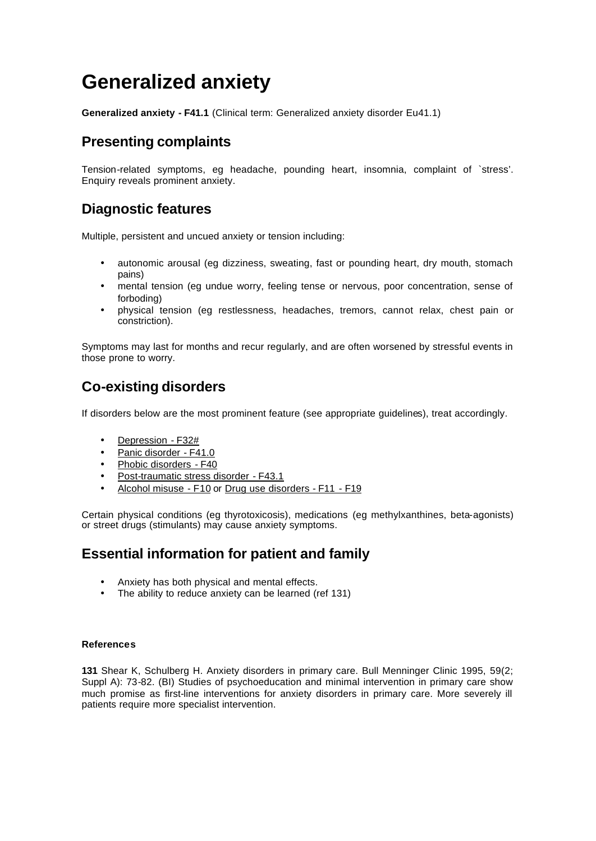# **Generalized anxiety**

**Generalized anxiety - F41.1** (Clinical term: Generalized anxiety disorder Eu41.1)

## **Presenting complaints**

Tension-related symptoms, eg headache, pounding heart, insomnia, complaint of `stress'. Enquiry reveals prominent anxiety.

## **Diagnostic features**

Multiple, persistent and uncued anxiety or tension including:

- autonomic arousal (eg dizziness, sweating, fast or pounding heart, dry mouth, stomach pains)
- mental tension (eg undue worry, feeling tense or nervous, poor concentration, sense of forboding)
- physical tension (eg restlessness, headaches, tremors, cannot relax, chest pain or constriction).

Symptoms may last for months and recur regularly, and are often worsened by stressful events in those prone to worry.

## **Co-existing disorders**

If disorders below are the most prominent feature (see appropriate guidelines), treat accordingly.

- Depression F32#
- Panic disorder F41.0
- Phobic disorders F40
- Post-traumatic stress disorder F43.1
- Alcohol misuse F10 or Drug use disorders F11 F19

Certain physical conditions (eg thyrotoxicosis), medications (eg methylxanthines, beta-agonists) or street drugs (stimulants) may cause anxiety symptoms.

## **Essential information for patient and family**

- Anxiety has both physical and mental effects.
- The ability to reduce anxiety can be learned (ref 131)

#### **References**

**131** Shear K, Schulberg H. Anxiety disorders in primary care. Bull Menninger Clinic 1995, 59(2; Suppl A): 73-82. (BI) Studies of psychoeducation and minimal intervention in primary care show much promise as first-line interventions for anxiety disorders in primary care. More severely ill patients require more specialist intervention.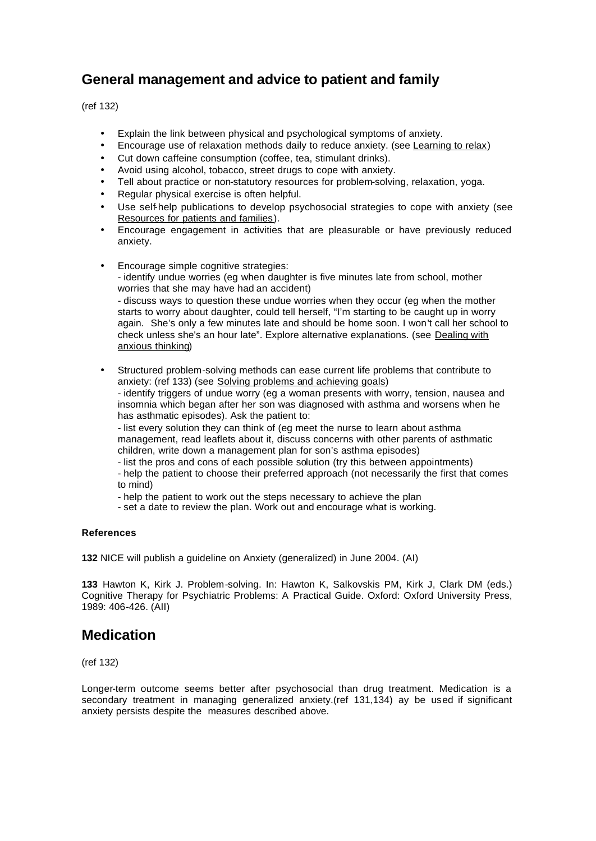# **General management and advice to patient and family**

(ref 132)

- Explain the link between physical and psychological symptoms of anxiety.
- Encourage use of relaxation methods daily to reduce anxiety. (see Learning to relax)
- Cut down caffeine consumption (coffee, tea, stimulant drinks).
- Avoid using alcohol, tobacco, street drugs to cope with anxiety.
- Tell about practice or non-statutory resources for problem-solving, relaxation, yoga.
- Regular physical exercise is often helpful.
- Use self-help publications to develop psychosocial strategies to cope with anxiety (see Resources for patients and families).
- Encourage engagement in activities that are pleasurable or have previously reduced anxiety.
- Encourage simple cognitive strategies: - identify undue worries (eg when daughter is five minutes late from school, mother worries that she may have had an accident) - discuss ways to question these undue worries when they occur (eg when the mother starts to worry about daughter, could tell herself, "I'm starting to be caught up in worry again. She's only a few minutes late and should be home soon. I won't call her school to check unless she's an hour late". Explore alternative explanations. (see Dealing with anxious thinking)
- Structured problem-solving methods can ease current life problems that contribute to anxiety: (ref 133) (see Solving problems and achieving goals) - identify triggers of undue worry (eg a woman presents with worry, tension, nausea and insomnia which began after her son was diagnosed with asthma and worsens when he has asthmatic episodes). Ask the patient to:

- list every solution they can think of (eg meet the nurse to learn about asthma management, read leaflets about it, discuss concerns with other parents of asthmatic children, write down a management plan for son's asthma episodes)

- list the pros and cons of each possible solution (try this between appointments) - help the patient to choose their preferred approach (not necessarily the first that comes to mind)

- help the patient to work out the steps necessary to achieve the plan

- set a date to review the plan. Work out and encourage what is working.

#### **References**

**132** NICE will publish a guideline on Anxiety (generalized) in June 2004. (AI)

**133** Hawton K, Kirk J. Problem-solving. In: Hawton K, Salkovskis PM, Kirk J, Clark DM (eds.) Cognitive Therapy for Psychiatric Problems: A Practical Guide. Oxford: Oxford University Press, 1989: 406-426. (AII)

## **Medication**

(ref 132)

Longer-term outcome seems better after psychosocial than drug treatment. Medication is a secondary treatment in managing generalized anxiety.(ref 131,134) ay be used if significant anxiety persists despite the measures described above.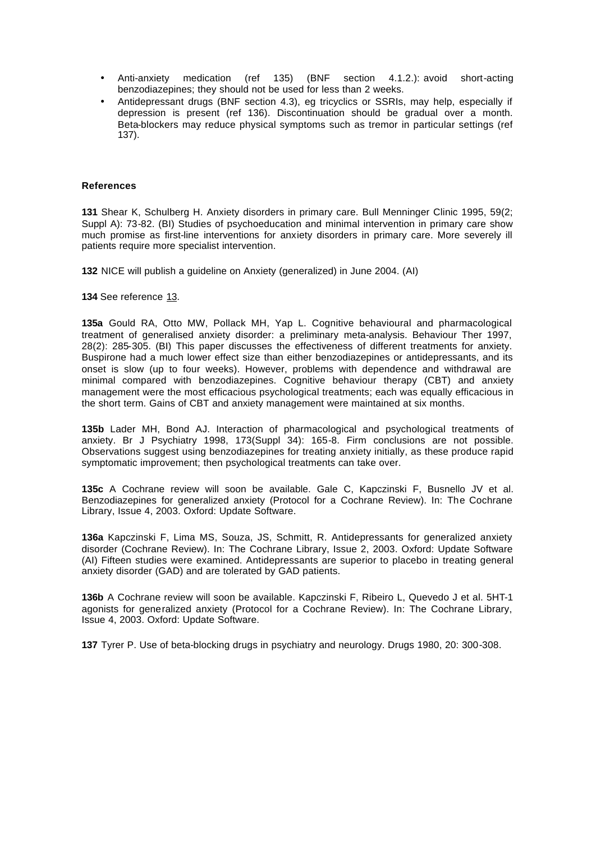- Anti-anxiety medication (ref 135) (BNF section 4.1.2.): avoid short-acting benzodiazepines; they should not be used for less than 2 weeks.
- Antidepressant drugs (BNF section 4.3), eg tricyclics or SSRIs, may help, especially if depression is present (ref 136). Discontinuation should be gradual over a month. Beta-blockers may reduce physical symptoms such as tremor in particular settings (ref 137).

#### **References**

**131** Shear K, Schulberg H. Anxiety disorders in primary care. Bull Menninger Clinic 1995, 59(2; Suppl A): 73-82. (BI) Studies of psychoeducation and minimal intervention in primary care show much promise as first-line interventions for anxiety disorders in primary care. More severely ill patients require more specialist intervention.

**132** NICE will publish a guideline on Anxiety (generalized) in June 2004. (AI)

**134** See reference 13.

**135a** Gould RA, Otto MW, Pollack MH, Yap L. Cognitive behavioural and pharmacological treatment of generalised anxiety disorder: a preliminary meta-analysis. Behaviour Ther 1997, 28(2): 285-305. (BI) This paper discusses the effectiveness of different treatments for anxiety. Buspirone had a much lower effect size than either benzodiazepines or antidepressants, and its onset is slow (up to four weeks). However, problems with dependence and withdrawal are minimal compared with benzodiazepines. Cognitive behaviour therapy (CBT) and anxiety management were the most efficacious psychological treatments; each was equally efficacious in the short term. Gains of CBT and anxiety management were maintained at six months.

**135b** Lader MH, Bond AJ. Interaction of pharmacological and psychological treatments of anxiety. Br J Psychiatry 1998, 173(Suppl 34): 165-8. Firm conclusions are not possible. Observations suggest using benzodiazepines for treating anxiety initially, as these produce rapid symptomatic improvement; then psychological treatments can take over.

**135c** A Cochrane review will soon be available. Gale C, Kapczinski F, Busnello JV et al. Benzodiazepines for generalized anxiety (Protocol for a Cochrane Review). In: The Cochrane Library, Issue 4, 2003. Oxford: Update Software.

**136a** Kapczinski F, Lima MS, Souza, JS, Schmitt, R. Antidepressants for generalized anxiety disorder (Cochrane Review). In: The Cochrane Library, Issue 2, 2003. Oxford: Update Software (AI) Fifteen studies were examined. Antidepressants are superior to placebo in treating general anxiety disorder (GAD) and are tolerated by GAD patients.

**136b** A Cochrane review will soon be available. Kapczinski F, Ribeiro L, Quevedo J et al. 5HT-1 agonists for generalized anxiety (Protocol for a Cochrane Review). In: The Cochrane Library, Issue 4, 2003. Oxford: Update Software.

**137** Tyrer P. Use of beta-blocking drugs in psychiatry and neurology. Drugs 1980, 20: 300-308.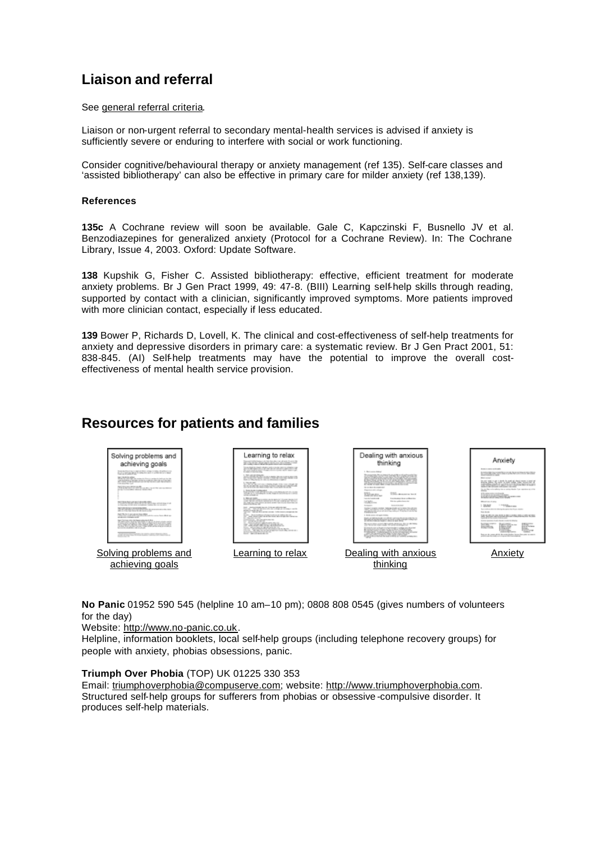# **Liaison and referral**

#### See general referral criteria.

Liaison or non-urgent referral to secondary mental-health services is advised if anxiety is sufficiently severe or enduring to interfere with social or work functioning.

Consider cognitive/behavioural therapy or anxiety management (ref 135). Self-care classes and 'assisted bibliotherapy' can also be effective in primary care for milder anxiety (ref 138,139).

#### **References**

**135c** A Cochrane review will soon be available. Gale C, Kapczinski F, Busnello JV et al. Benzodiazepines for generalized anxiety (Protocol for a Cochrane Review). In: The Cochrane Library, Issue 4, 2003. Oxford: Update Software.

**138** Kupshik G, Fisher C. Assisted bibliotherapy: effective, efficient treatment for moderate anxiety problems. Br J Gen Pract 1999, 49: 47-8. (BIII) Learning self-help skills through reading, supported by contact with a clinician, significantly improved symptoms. More patients improved with more clinician contact, especially if less educated.

**139** Bower P, Richards D, Lovell, K. The clinical and cost-effectiveness of self-help treatments for anxiety and depressive disorders in primary care: a systematic review. Br J Gen Pract 2001, 51: 838-845. (AI) Self-help treatments may have the potential to improve the overall costeffectiveness of mental health service provision.

## **Resources for patients and families**

| Solving problems and<br>achieving goals<br>the pain day of the children country and determined the following the profile and coun-<br>to a collection provide service and in condition and many<br>the Colombia de Antique<br>We have the further higher that concident this follows occur and depends into the gas time when<br>and workers a layerse recibe a content and was not become.<br>all costs to be traditions at the term and controllers.<br>CON HOLLYWAY CLAR<br>THE R. P. LEWIS CO., LANSING, MICH. 49-14039-1-120-2<br>and the form and the company of<br>POTENTALE ROWING TO AN ANGELES FOR<br>to have been and about completion, wanted the constants<br>land, Difficilla Aub is now at the date of the<br>of the state state of the state and the state and<br>ling & Machine is space and one desays shipper.<br>and the company and provide a second condition data in a company final and the second<br>and continued a child modern dealers.<br>land, findings with simplement refer to this first<br>27. send cability through Talk and By to tak 21 doesn't achieve comfor-<br>I did a collisi condita che filati che se riggio lon è attatto di lo causo<br>sent training children cold-under called control from condition<br>can show their consider functions. Today, strink can be child an original and<br>decreased at your diffusion with oil siles and<br>and the result of the first state of the country of the country of | _earning to relax<br>Second trails feature in Adv Ascular car of cash is an in Mr.<br>and the state of the company of the company of the company of the<br>ally condition about the state of the state of the Community<br>The part of the Chinese collection contact on the part of the Chinese collection<br>and a few and company of the condition of the state of the condition of the condition of<br>to your traditional of the characteristic at the seasonal<br>an experience of the college<br>and control with respective an except setter into<br>the collection in the London Corporation<br>THE R. P. LEWIS CO., LANSING, MICH. 49-14039-1-120-2<br><b>LOOST-MINE UNDER CASTLE</b><br>Solution date through the code of<br><b>BETTER STATISTICS</b><br>and the contract of<br><b>Bally car and a</b><br><b>RETAKTIONS AND STATE</b><br>the first than the process or each study the class to the line of<br>that contractment through the permitted primer<br>the case. That can are the sixt a final can consumer cascular<br>and the first party of the color<br>terms, being determinente informationale in-<br>the first contribution of the term are determined as the con-<br><b>Bill and Company and Company</b><br>conservation and the contract was determined<br>the Company of the Second<br>is think after him a<br>the Party and Party of Links and<br>the company of the company of the company of | Dealing with anxious<br>1. Management Schlost<br>SCORE CONTRACTOR<br>the base wide in the of the to the County of the County of<br>hanno deve degle 10 decembra alla delle costa che en per la<br>and the posterior and the price in the contract and the price of the<br>In the party as made that's a closer mode of the force a con-<br>The air officer the complete that<br><b>Commercial Allenger</b><br><b>COLLADORER SHOW</b><br><b><i><u>Elderstown</u></i></b><br><b><i>International Content</i></b><br><b><i>Localization de la condition des</i></b><br>include.<br><b>Ride Care condition the started</b><br><b><i>CARL &amp; CALL</i></b><br><b>STATISTICS</b><br><b><i>REPAIR ROOMS</i></b><br>localize in complete monitoris, indicating plansies and interest than cold comp<br>sales, approaches and, as later. August an one choice a<br>Field that the structure independence of the contexts and<br>1. Month company of registrations of<br>leads on interestingly with \$1.00 metrics and a least close on the con-<br>of the control state and comparements.<br><b>TO NOVEMBER OF DISTURBANCE WITHOUT</b><br>between the control of the party of the best states of the control of<br>Contact of Conc. In the Car Indian and<br>committee parties on send a character and also interested and service.<br><b>PERSONAL PROPERTY</b> | <b>Brown company with really</b><br><b>EYEK RUN WYNT A LAN AT BEN'N DER</b><br>Montrealers or Capital<br>Morris work of<br>Do not want to get to decide the mode and departments to best and<br>desired chillier. The name on suitable business between that we<br><b>UESPARO LAST LORDAN MOVIES</b><br>for an that or in where he as uniter-times if you seeming on a lin-<br><b>START OF</b><br>LEASE SURVEY AND RESERVE THE<br><b>BRIDGE AVENUE</b><br><b>USAP</b><br><b><i>CONSUMER</i></b><br>No is confident that the reference that the control of the con-<br><b>Real Abraha</b><br>THE SURFACE ARE NOT A RECOVERED FOR A 1972.<br>in problem the first sensitive change country.<br>Scotter acaremy if and offered county furnitures.<br>SATISFIED FOR<br>Challenge Construction Sea<br><b>Links</b><br>\$10 milestade<br><b><i><u>ETHER AND THE</u></i></b><br><b>Artificial close</b><br><b>Britain Council</b><br><b><i>STATISTICS</i></b><br><b>STORIES</b><br>batton de come all de decorat dealer feueralismente acome à<br>and the rate for a different to the rate of the control and at- |
|----------------------------------------------------------------------------------------------------------------------------------------------------------------------------------------------------------------------------------------------------------------------------------------------------------------------------------------------------------------------------------------------------------------------------------------------------------------------------------------------------------------------------------------------------------------------------------------------------------------------------------------------------------------------------------------------------------------------------------------------------------------------------------------------------------------------------------------------------------------------------------------------------------------------------------------------------------------------------------------------------------------------------------------------------------------------------------------------------------------------------------------------------------------------------------------------------------------------------------------------------------------------------------------------------------------------------------------------------------------------------------------------------------------------------------------------------------------|-------------------------------------------------------------------------------------------------------------------------------------------------------------------------------------------------------------------------------------------------------------------------------------------------------------------------------------------------------------------------------------------------------------------------------------------------------------------------------------------------------------------------------------------------------------------------------------------------------------------------------------------------------------------------------------------------------------------------------------------------------------------------------------------------------------------------------------------------------------------------------------------------------------------------------------------------------------------------------------------------------------------------------------------------------------------------------------------------------------------------------------------------------------------------------------------------------------------------------------------------------------------------------------------------------------------------------------------------------------------------------------------------------------------------------|-----------------------------------------------------------------------------------------------------------------------------------------------------------------------------------------------------------------------------------------------------------------------------------------------------------------------------------------------------------------------------------------------------------------------------------------------------------------------------------------------------------------------------------------------------------------------------------------------------------------------------------------------------------------------------------------------------------------------------------------------------------------------------------------------------------------------------------------------------------------------------------------------------------------------------------------------------------------------------------------------------------------------------------------------------------------------------------------------------------------------------------------------------------------------------------------------------------------------------------------------------------------------------------------------------------------------------------------------------------|------------------------------------------------------------------------------------------------------------------------------------------------------------------------------------------------------------------------------------------------------------------------------------------------------------------------------------------------------------------------------------------------------------------------------------------------------------------------------------------------------------------------------------------------------------------------------------------------------------------------------------------------------------------------------------------------------------------------------------------------------------------------------------------------------------------------------------------------------------------------------------------------------------------------------------------------------------------------------------------------------------------------------------------------------------------------------------------------------------|
| Solving problems and<br>achieving goals                                                                                                                                                                                                                                                                                                                                                                                                                                                                                                                                                                                                                                                                                                                                                                                                                                                                                                                                                                                                                                                                                                                                                                                                                                                                                                                                                                                                                        | Learning to relax                                                                                                                                                                                                                                                                                                                                                                                                                                                                                                                                                                                                                                                                                                                                                                                                                                                                                                                                                                                                                                                                                                                                                                                                                                                                                                                                                                                                             | Dealing with anxious                                                                                                                                                                                                                                                                                                                                                                                                                                                                                                                                                                                                                                                                                                                                                                                                                                                                                                                                                                                                                                                                                                                                                                                                                                                                                                                                      | Anxietv                                                                                                                                                                                                                                                                                                                                                                                                                                                                                                                                                                                                                                                                                                                                                                                                                                                                                                                                                                                                                                                                                                    |

**No Panic** 01952 590 545 (helpline 10 am–10 pm); 0808 808 0545 (gives numbers of volunteers for the day)

Website: http://www.no-panic.co.uk.

Helpline, information booklets, local self-help groups (including telephone recovery groups) for people with anxiety, phobias obsessions, panic.

#### **Triumph Over Phobia** (TOP) UK 01225 330 353

Email: triumphoverphobia@compuserve.com; website: http://www.triumphoverphobia.com. Structured self-help groups for sufferers from phobias or obsessive -compulsive disorder. It produces self-help materials.